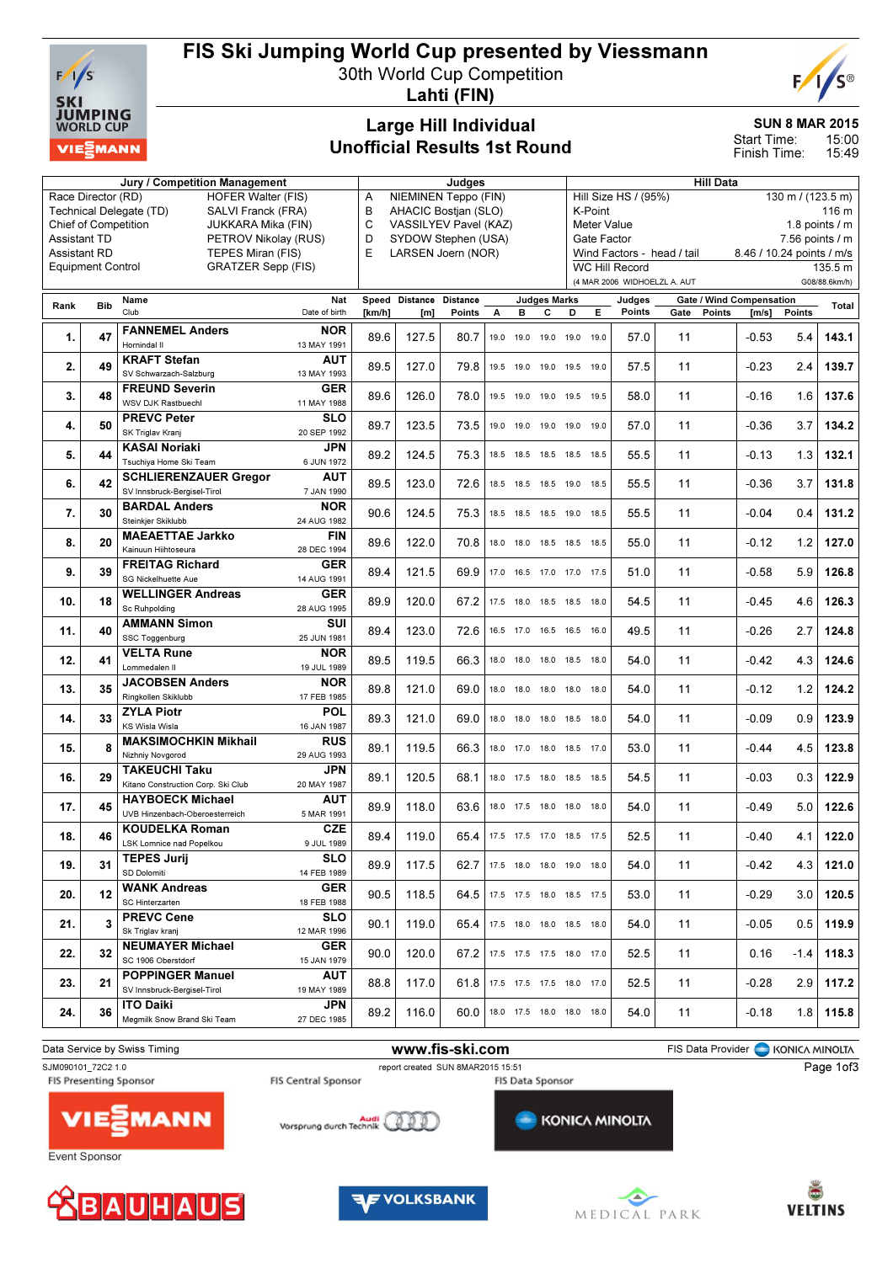

## FIS Ski Jumping World Cup presented by Viessmann

30th World Cup Competition



Lahti (FIN)

#### Large Hill Individual Unofficial Results 1st Round

SUN 8 MAR 2015

15:00 15:49 Start Time: Finish Time:

| <b>Jury / Competition Management</b> |                             |                                                            |                            |                 | Judges              |                           |      |      |                                |                                           | <b>Hill Data</b>           |                                                       |                                                   |         |                           |               |  |
|--------------------------------------|-----------------------------|------------------------------------------------------------|----------------------------|-----------------|---------------------|---------------------------|------|------|--------------------------------|-------------------------------------------|----------------------------|-------------------------------------------------------|---------------------------------------------------|---------|---------------------------|---------------|--|
|                                      | Race Director (RD)          | <b>HOFER Walter (FIS)</b>                                  | NIEMINEN Teppo (FIN)<br>A  |                 |                     |                           |      |      |                                | Hill Size HS / (95%)<br>130 m / (123.5 m) |                            |                                                       |                                                   |         |                           |               |  |
|                                      |                             | Technical Delegate (TD)<br>SALVI Franck (FRA)              | В<br>AHACIC Bostjan (SLO)  |                 |                     |                           |      |      |                                | K-Point<br>116 m                          |                            |                                                       |                                                   |         |                           |               |  |
|                                      | <b>Chief of Competition</b> | JUKKARA Mika (FIN)                                         | C<br>VASSILYEV Pavel (KAZ) |                 |                     |                           |      |      | 1.8 points $/m$<br>Meter Value |                                           |                            |                                                       |                                                   |         |                           |               |  |
| <b>Assistant TD</b>                  |                             | PETROV Nikolay (RUS)                                       | D                          |                 | SYDOW Stephen (USA) |                           |      |      |                                | Gate Factor                               |                            |                                                       |                                                   |         | $7.56$ points $/ m$       |               |  |
| <b>Assistant RD</b>                  |                             | TEPES Miran (FIS)                                          | E                          |                 | LARSEN Joern (NOR)  |                           |      |      |                                |                                           | Wind Factors - head / tail |                                                       |                                                   |         | 8.46 / 10.24 points / m/s |               |  |
|                                      | <b>Equipment Control</b>    | <b>GRATZER Sepp (FIS)</b>                                  |                            |                 |                     |                           |      |      |                                |                                           |                            | <b>WC Hill Record</b><br>(4 MAR 2006 WIDHOELZL A. AUT |                                                   |         |                           | 135.5 m       |  |
|                                      |                             |                                                            |                            |                 |                     |                           |      |      |                                |                                           |                            |                                                       |                                                   |         |                           | G08/88.6km/h) |  |
| Rank                                 | <b>Bib</b>                  | Name<br>Club                                               | Nat<br>Date of birth       | Speed<br>[km/h] | Distance<br>[m]     | <b>Distance</b><br>Points | А    | в    | <b>Judges Marks</b><br>с       | D                                         | Е                          | Judges<br>Points                                      | Gate / Wind Compensation<br>Gate<br><b>Points</b> | [m/s]   | <b>Points</b>             | Total         |  |
|                                      |                             |                                                            |                            |                 |                     |                           |      |      |                                |                                           |                            |                                                       |                                                   |         |                           |               |  |
| 1.                                   | 47                          | <b>FANNEMEL Anders</b><br>Hornindal II                     | <b>NOR</b><br>13 MAY 1991  | 89.6            | 127.5               | 80.7                      | 19.0 | 19.0 | 19.0 19.0                      |                                           | 19.0                       | 57.0                                                  | 11                                                | $-0.53$ | 5.4                       | 143.1         |  |
|                                      |                             | <b>KRAFT Stefan</b>                                        | AUT                        |                 |                     |                           |      |      |                                |                                           |                            |                                                       |                                                   |         |                           |               |  |
| 2.                                   | 49                          | SV Schwarzach-Salzburg                                     | 13 MAY 1993                | 89.5            | 127.0               | 79.8                      | 19.5 | 19.0 |                                | 19.0 19.5 19.0                            |                            | 57.5                                                  | 11                                                | $-0.23$ | 2.4                       | 139.7         |  |
|                                      |                             | <b>FREUND Severin</b>                                      | <b>GER</b>                 |                 |                     |                           |      |      |                                |                                           |                            |                                                       |                                                   |         |                           |               |  |
| 3.                                   | 48                          | WSV DJK Rastbuechl                                         | 11 MAY 1988                | 89.6            | 126.0               | 78.0                      |      |      |                                | 19.5 19.0 19.0 19.5 19.5                  |                            | 58.0                                                  | 11                                                | $-0.16$ | 1.6                       | 137.6         |  |
| 4.                                   | 50                          | <b>PREVC Peter</b>                                         | <b>SLO</b>                 | 89.7            | 123.5               | 73.5                      | 19.0 |      |                                | 19.0 19.0 19.0 19.0                       |                            | 57.0                                                  | 11                                                | $-0.36$ | 3.7                       | 134.2         |  |
|                                      |                             | SK Triglav Kranj                                           | 20 SEP 1992                |                 |                     |                           |      |      |                                |                                           |                            |                                                       |                                                   |         |                           |               |  |
| 5.                                   | 44                          | <b>KASAI Noriaki</b>                                       | <b>JPN</b>                 | 89.2            | 124.5               | 75.3                      | 18.5 |      |                                | 18.5 18.5 18.5 18.5                       |                            | 55.5                                                  | 11                                                | $-0.13$ | 1.3                       | 132.1         |  |
|                                      |                             | Tsuchiya Home Ski Team                                     | 6 JUN 1972                 |                 |                     |                           |      |      |                                |                                           |                            |                                                       |                                                   |         |                           |               |  |
| 6.                                   | 42                          | <b>SCHLIERENZAUER Gregor</b>                               | AUT                        | 89.5            | 123.0               | 72.6                      |      |      |                                | 18.5 18.5 18.5 19.0 18.5                  |                            | 55.5                                                  | 11                                                | $-0.36$ | 3.7                       | 131.8         |  |
|                                      |                             | SV Innsbruck-Bergisel-Tirol                                | 7 JAN 1990<br><b>NOR</b>   |                 |                     |                           |      |      |                                |                                           |                            |                                                       |                                                   |         |                           |               |  |
| 7.                                   | 30                          | <b>BARDAL Anders</b><br>Steinkier Skiklubb                 | 24 AUG 1982                | 90.6            | 124.5               | 75.3                      |      |      |                                | 18.5 18.5 18.5 19.0 18.5                  |                            | 55.5                                                  | 11                                                | $-0.04$ | 0.4                       | 131.2         |  |
|                                      |                             | <b>MAEAETTAE Jarkko</b>                                    | FIN                        |                 |                     |                           |      |      |                                |                                           |                            |                                                       |                                                   |         |                           |               |  |
| 8.                                   | 20                          | Kainuun Hiihtoseura                                        | 28 DEC 1994                | 89.6            | 122.0               | 70.8                      |      |      |                                | 18.0 18.0 18.5 18.5 18.5                  |                            | 55.0                                                  | 11                                                | $-0.12$ | 1.2                       | 127.0         |  |
|                                      |                             | <b>FREITAG Richard</b>                                     | <b>GER</b>                 |                 |                     |                           |      |      |                                |                                           |                            |                                                       |                                                   |         |                           |               |  |
| 9.                                   | 39                          | SG Nickelhuette Aue                                        | 14 AUG 1991                | 89.4            | 121.5               | 69.9                      | 17.0 |      |                                | 16.5 17.0 17.0 17.5                       |                            | 51.0                                                  | 11                                                | $-0.58$ | 5.9                       | 126.8         |  |
| 10.                                  | 18                          | <b>WELLINGER Andreas</b>                                   | GER                        | 89.9            | 120.0               | 67.2                      | 17.5 |      |                                | 18.0 18.5 18.5 18.0                       |                            | 54.5                                                  | 11                                                | $-0.45$ | 4.6                       | 126.3         |  |
|                                      |                             | Sc Ruhpolding                                              | 28 AUG 1995                |                 |                     |                           |      |      |                                |                                           |                            |                                                       |                                                   |         |                           |               |  |
| 11.                                  | 40                          | <b>AMMANN Simon</b>                                        | SUI                        | 89.4            | 123.0               | 72.6                      |      |      |                                | 16.5 17.0 16.5 16.5 16.0                  |                            | 49.5                                                  | 11                                                | $-0.26$ | 2.7                       | 124.8         |  |
|                                      |                             | SSC Toggenburg<br><b>VELTA Rune</b>                        | 25 JUN 1981<br><b>NOR</b>  |                 |                     |                           |      |      |                                |                                           |                            |                                                       |                                                   |         |                           |               |  |
| 12.                                  | 41                          | Lommedalen II                                              | 19 JUL 1989                | 89.5            | 119.5               | 66.3                      | 18.0 |      | 18.0 18.0 18.5                 |                                           | 18.0                       | 54.0                                                  | 11                                                | $-0.42$ | 4.3                       | 124.6         |  |
|                                      |                             | <b>JACOBSEN Anders</b>                                     | <b>NOR</b>                 |                 |                     |                           |      |      |                                |                                           |                            |                                                       |                                                   |         |                           |               |  |
| 13.                                  | 35                          | Ringkollen Skiklubb                                        | 17 FEB 1985                | 89.8            | 121.0               | 69.0                      | 18.0 | 18.0 |                                | 18.0 18.0 18.0                            |                            | 54.0                                                  | 11                                                | $-0.12$ | 1.2                       | 124.2         |  |
| 14.                                  | 33                          | <b>ZYLA Piotr</b>                                          | <b>POL</b>                 | 89.3            | 121.0               | 69.0                      | 18.0 |      |                                | 18.0 18.0 18.5 18.0                       |                            | 54.0                                                  | 11                                                | $-0.09$ | 0.9                       | 123.9         |  |
|                                      |                             | <b>KS Wisla Wisla</b>                                      | 16 JAN 1987                |                 |                     |                           |      |      |                                |                                           |                            |                                                       |                                                   |         |                           |               |  |
| 15.                                  | 8                           | <b>MAKSIMOCHKIN Mikhail</b>                                | <b>RUS</b>                 | 89.1            | 119.5               | 66.3                      |      |      |                                | 18.0 17.0 18.0 18.5 17.0                  |                            | 53.0                                                  | 11                                                | $-0.44$ | 4.5                       | 123.8         |  |
|                                      |                             | Nizhniy Novgorod                                           | 29 AUG 1993                |                 |                     |                           |      |      |                                |                                           |                            |                                                       |                                                   |         |                           |               |  |
| 16.                                  | 29                          | <b>TAKEUCHI Taku</b><br>Kitano Construction Corp. Ski Club | <b>JPN</b><br>20 MAY 1987  | 89.1            | 120.5               | 68.1                      | 18.0 |      | 17.5 18.0 18.5                 |                                           | 18.5                       | 54.5                                                  | 11                                                | $-0.03$ | 0.3                       | 122.9         |  |
|                                      |                             | <b>HAYBOECK Michael</b>                                    | <b>AUT</b>                 |                 |                     |                           |      |      |                                |                                           |                            |                                                       |                                                   |         |                           |               |  |
| 17.                                  | 45                          | UVB Hinzenbach-Oberoesterreich                             | 5 MAR 1991                 | 89.9            | 118.0               | 63.6                      | 18.0 |      | 17.5 18.0 18.0                 |                                           | 18.0                       | 54.0                                                  | 11                                                | $-0.49$ | 5.0                       | 122.6         |  |
|                                      |                             | <b>KOUDELKA Roman</b>                                      | <b>CZE</b>                 |                 |                     |                           |      |      |                                |                                           |                            |                                                       |                                                   |         |                           |               |  |
| 18.                                  | 46                          | LSK Lomnice nad Popelkou                                   | 9 JUL 1989                 | 89.4            | 119.0               | 65.4                      |      |      |                                | 17.5 17.5 17.0 18.5 17.5                  |                            | 52.5                                                  | 11                                                | $-0.40$ | 4.1                       | 122.0         |  |
| 19.                                  | 31                          | <b>TEPES Jurij</b>                                         | <b>SLO</b>                 | 89.9            | 117.5               | 62.7                      |      |      |                                | 17.5 18.0 18.0 19.0 18.0                  |                            | 54.0                                                  | 11                                                | $-0.42$ | 4.3                       | 121.0         |  |
|                                      |                             | SD Dolomiti                                                | 14 FEB 1989                |                 |                     |                           |      |      |                                |                                           |                            |                                                       |                                                   |         |                           |               |  |
| 20.                                  | 12                          | <b>WANK Andreas</b>                                        | <b>GER</b>                 | 90.5            | 118.5               | 64.5                      |      |      |                                | 17.5 17.5 18.0 18.5 17.5                  |                            | 53.0                                                  | 11                                                | $-0.29$ | 3.0                       | 120.5         |  |
|                                      |                             | SC Hinterzarten<br><b>PREVC Cene</b>                       | 18 FEB 1988<br><b>SLO</b>  |                 |                     |                           |      |      |                                |                                           |                            |                                                       |                                                   |         |                           |               |  |
| 21.                                  | 3                           | Sk Triglav kranj                                           | 12 MAR 1996                | 90.1            | 119.0               | 65.4                      |      |      |                                | 17.5 18.0 18.0 18.5 18.0                  |                            | 54.0                                                  | 11                                                | $-0.05$ | 0.5                       | 119.9         |  |
|                                      |                             | <b>NEUMAYER Michael</b>                                    | <b>GER</b>                 |                 |                     |                           |      |      |                                |                                           |                            |                                                       |                                                   |         |                           |               |  |
| 22.                                  | 32                          | SC 1906 Oberstdorf                                         | 15 JAN 1979                | 90.0            | 120.0               | 67.2                      |      |      |                                | 17.5 17.5 17.5 18.0 17.0                  |                            | 52.5                                                  | 11                                                | 0.16    | -1.4                      | 118.3         |  |
|                                      |                             | <b>POPPINGER Manuel</b>                                    | AUT                        |                 |                     |                           |      |      |                                |                                           |                            |                                                       |                                                   |         |                           |               |  |
| 23.                                  | 21                          | SV Innsbruck-Bergisel-Tirol                                | 19 MAY 1989                | 88.8            | 117.0               | 61.8                      |      |      |                                | 17.5 17.5 17.5 18.0 17.0                  |                            | 52.5                                                  | 11                                                | $-0.28$ | 2.9                       | 117.2         |  |
| 24.                                  | 36                          | <b>ITO Daiki</b>                                           | <b>JPN</b>                 | 89.2            | 116.0               | 60.0                      |      |      |                                | 18.0 17.5 18.0 18.0 18.0                  |                            | 54.0                                                  | 11                                                | $-0.18$ | 1.8                       | 115.8         |  |
|                                      |                             | Megmilk Snow Brand Ski Team                                | 27 DEC 1985                |                 |                     |                           |      |      |                                |                                           |                            |                                                       |                                                   |         |                           |               |  |
|                                      |                             |                                                            |                            |                 |                     |                           |      |      |                                |                                           |                            |                                                       |                                                   |         |                           |               |  |









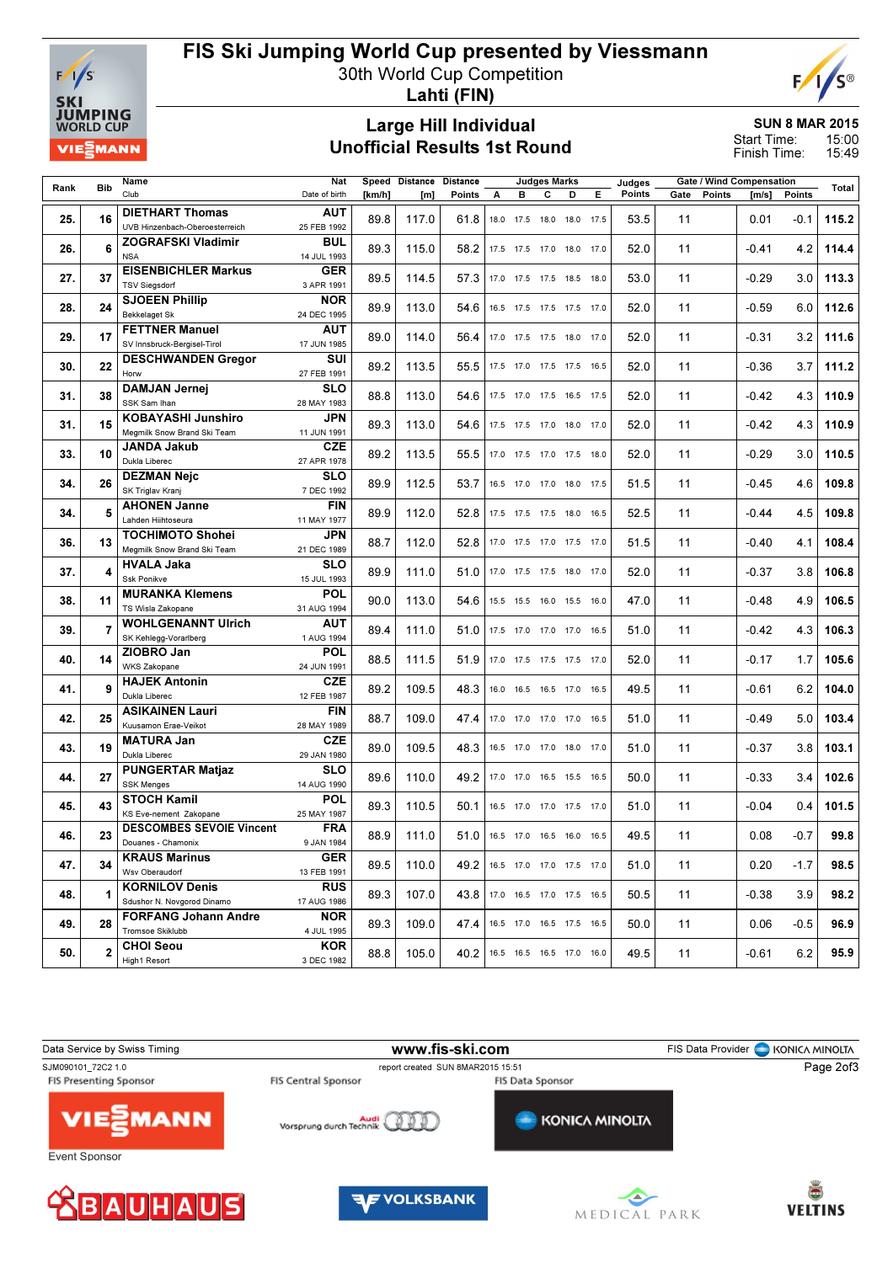

## FIS Ski Jumping World Cup presented by Viessmann

30th World Cup Competition



Lahti (FIN)

#### Large Hill Individual Unofficial Results 1st Round

SUN 8 MAR 2015 15:00 Start Time:

15:49 Finish Time:

| Rank | <b>Bib</b>   | Name                              | Speed Distance<br><b>Judges Marks</b><br>Nat<br><b>Distance</b> |        |       | Judges | Gate / Wind Compensation |                          |   |           | Total |        |      |        |         |        |       |
|------|--------------|-----------------------------------|-----------------------------------------------------------------|--------|-------|--------|--------------------------|--------------------------|---|-----------|-------|--------|------|--------|---------|--------|-------|
|      |              | Club                              | Date of birth                                                   | [km/h] | [m]   | Points | А                        | в                        | C | D         | Е     | Points | Gate | Points | [m/s]   | Points |       |
|      |              | <b>DIETHART Thomas</b>            | AUT                                                             |        |       |        |                          |                          |   |           |       |        |      |        |         |        |       |
| 25.  | 16           | UVB Hinzenbach-Oberoesterreich    | 25 FEB 1992                                                     | 89.8   | 117.0 | 61.8   |                          | 18.0 17.5 18.0           |   | 18.0 17.5 |       | 53.5   | 11   |        | 0.01    | $-0.1$ | 115.2 |
|      |              | <b>ZOGRAFSKI Vladimir</b>         | <b>BUL</b>                                                      |        |       |        |                          |                          |   |           |       |        |      |        |         |        |       |
| 26.  | 6            | <b>NSA</b>                        | 14 JUL 1993                                                     | 89.3   | 115.0 | 58.2   |                          | 17.5 17.5 17.0 18.0 17.0 |   |           |       | 52.0   | 11   |        | $-0.41$ | 4.2    | 114.4 |
|      |              | <b>EISENBICHLER Markus</b>        | <b>GER</b>                                                      |        |       |        |                          |                          |   |           |       |        |      |        |         |        |       |
| 27.  | 37           | <b>TSV Siegsdorf</b>              | 3 APR 1991                                                      | 89.5   | 114.5 | 57.3   |                          | 17.0 17.5 17.5 18.5 18.0 |   |           |       | 53.0   | 11   |        | $-0.29$ | 3.0    | 113.3 |
|      |              | <b>SJOEEN Phillip</b>             | <b>NOR</b>                                                      |        |       |        |                          |                          |   |           |       |        |      |        |         |        |       |
| 28.  | 24           | <b>Bekkelaget Sk</b>              | 24 DEC 1995                                                     | 89.9   | 113.0 | 54.6   |                          | 16.5 17.5 17.5 17.5 17.0 |   |           |       | 52.0   | 11   |        | $-0.59$ | 6.0    | 112.6 |
|      |              | <b>FETTNER Manuel</b>             | <b>AUT</b>                                                      |        |       |        |                          |                          |   |           |       |        |      |        |         |        |       |
| 29.  | 17           | SV Innsbruck-Bergisel-Tirol       | 17 JUN 1985                                                     | 89.0   | 114.0 | 56.4   |                          | 17.0 17.5 17.5 18.0 17.0 |   |           |       | 52.0   | 11   |        | $-0.31$ | 3.2    | 111.6 |
|      |              |                                   | SUI                                                             |        |       |        |                          |                          |   |           |       |        |      |        |         |        |       |
| 30.  | 22           | <b>DESCHWANDEN Gregor</b><br>Horw | 27 FEB 1991                                                     | 89.2   | 113.5 | 55.5   |                          | 17.5 17.0 17.5 17.5 16.5 |   |           |       | 52.0   | 11   |        | $-0.36$ | 3.7    | 111.2 |
|      |              | <b>DAMJAN Jernej</b>              | <b>SLO</b>                                                      |        |       |        |                          |                          |   |           |       |        |      |        |         |        |       |
| 31.  | 38           | SSK Sam Ihan                      | 28 MAY 1983                                                     | 88.8   | 113.0 | 54.6   |                          | 17.5 17.0 17.5 16.5 17.5 |   |           |       | 52.0   | 11   |        | $-0.42$ | 4.3    | 110.9 |
|      |              | <b>KOBAYASHI Junshiro</b>         | <b>JPN</b>                                                      |        |       |        |                          |                          |   |           |       |        |      |        |         |        |       |
| 31.  | 15           | Megmilk Snow Brand Ski Team       | 11 JUN 1991                                                     | 89.3   | 113.0 | 54.6   |                          | 17.5 17.5 17.0 18.0 17.0 |   |           |       | 52.0   | 11   |        | $-0.42$ | 4.3    | 110.9 |
|      |              | JANDA Jakub                       | <b>CZE</b>                                                      |        |       |        |                          |                          |   |           |       |        |      |        |         |        |       |
| 33.  | 10           | Dukla Liberec                     | 27 APR 1978                                                     | 89.2   | 113.5 | 55.5   |                          | 17.0 17.5 17.0 17.5 18.0 |   |           |       | 52.0   | 11   |        | $-0.29$ | 3.0    | 110.5 |
|      |              | <b>DEZMAN Neic</b>                | <b>SLO</b>                                                      |        |       |        |                          |                          |   |           |       |        |      |        |         |        |       |
| 34.  | 26           | SK Triglav Kranj                  | 7 DEC 1992                                                      | 89.9   | 112.5 | 53.7   |                          | 16.5 17.0 17.0 18.0 17.5 |   |           |       | 51.5   | 11   |        | $-0.45$ | 4.6    | 109.8 |
|      |              | <b>AHONEN Janne</b>               | <b>FIN</b>                                                      |        |       |        |                          |                          |   |           |       |        |      |        |         |        |       |
| 34.  | 5            | Lahden Hiihtoseura                | 11 MAY 1977                                                     | 89.9   | 112.0 | 52.8   |                          | 17.5 17.5 17.5 18.0 16.5 |   |           |       | 52.5   | 11   |        | $-0.44$ | 4.5    | 109.8 |
|      |              | <b>TOCHIMOTO Shohei</b>           | <b>JPN</b>                                                      |        |       |        |                          |                          |   |           |       |        |      |        |         |        |       |
| 36.  | 13           | Megmilk Snow Brand Ski Team       | 21 DEC 1989                                                     | 88.7   | 112.0 | 52.8   |                          | 17.0 17.5 17.0 17.5 17.0 |   |           |       | 51.5   | 11   |        | $-0.40$ | 4.1    | 108.4 |
|      |              | <b>HVALA Jaka</b>                 | <b>SLO</b>                                                      |        |       |        |                          |                          |   |           |       |        |      |        |         |        |       |
| 37.  | 4            | Ssk Ponikve                       | 15 JUL 1993                                                     | 89.9   | 111.0 | 51.0   |                          | 17.0 17.5 17.5 18.0 17.0 |   |           |       | 52.0   | 11   |        | $-0.37$ | 3.8    | 106.8 |
|      |              | <b>MURANKA Klemens</b>            | <b>POL</b>                                                      |        |       |        |                          |                          |   |           |       |        |      |        |         |        |       |
| 38.  | 11           | TS Wisla Zakopane                 | 31 AUG 1994                                                     | 90.0   | 113.0 | 54.6   |                          | 15.5 15.5 16.0 15.5 16.0 |   |           |       | 47.0   | 11   |        | $-0.48$ | 4.9    | 106.5 |
|      |              | <b>WOHLGENANNT Ulrich</b>         | <b>AUT</b>                                                      |        |       |        |                          |                          |   |           |       |        |      |        |         |        |       |
| 39.  | 7            | SK Kehlegg-Vorarlberg             | 1 AUG 1994                                                      | 89.4   | 111.0 | 51.0   |                          | 17.5 17.0 17.0 17.0 16.5 |   |           |       | 51.0   | 11   |        | $-0.42$ | 4.3    | 106.3 |
|      |              | ZIOBRO Jan                        | <b>POL</b>                                                      |        |       |        |                          |                          |   |           |       |        |      |        |         |        |       |
| 40.  | 14           | WKS Zakopane                      | 24 JUN 1991                                                     | 88.5   | 111.5 | 51.9   |                          | 17.0 17.5 17.5 17.5 17.0 |   |           |       | 52.0   | 11   |        | $-0.17$ | 1.7    | 105.6 |
|      |              | <b>HAJEK Antonin</b>              | <b>CZE</b>                                                      |        |       |        |                          |                          |   |           |       |        |      |        |         |        |       |
| 41.  | 9            | Dukla Liberec                     | 12 FEB 1987                                                     | 89.2   | 109.5 | 48.3   |                          | 16.0 16.5 16.5 17.0 16.5 |   |           |       | 49.5   | 11   |        | $-0.61$ | 6.2    | 104.0 |
|      |              | <b>ASIKAINEN Lauri</b>            | <b>FIN</b>                                                      |        |       |        |                          |                          |   |           |       |        |      |        |         |        |       |
| 42.  | 25           | Kuusamon Erae-Veikot              | 28 MAY 1989                                                     | 88.7   | 109.0 | 47.4   |                          | 17.0 17.0 17.0 17.0 16.5 |   |           |       | 51.0   | 11   |        | $-0.49$ | 5.0    | 103.4 |
|      |              | <b>MATURA Jan</b>                 | <b>CZE</b>                                                      |        |       |        |                          |                          |   |           |       |        |      |        |         |        |       |
| 43.  | 19           | Dukla Liberec                     | 29 JAN 1980                                                     | 89.0   | 109.5 | 48.3   |                          | 16.5 17.0 17.0 18.0 17.0 |   |           |       | 51.0   | 11   |        | $-0.37$ | 3.8    | 103.1 |
|      |              | <b>PUNGERTAR Matjaz</b>           | <b>SLO</b>                                                      |        |       |        |                          |                          |   |           |       |        |      |        |         |        |       |
| 44.  | 27           | <b>SSK Menges</b>                 | 14 AUG 1990                                                     | 89.6   | 110.0 | 49.2   |                          | 17.0 17.0 16.5 15.5 16.5 |   |           |       | 50.0   | 11   |        | $-0.33$ | 3.4    | 102.6 |
|      |              | <b>STOCH Kamil</b>                | <b>POL</b>                                                      |        |       |        |                          |                          |   |           |       |        |      |        |         |        |       |
| 45.  | 43           | KS Eve-nement Zakopane            | 25 MAY 1987                                                     | 89.3   | 110.5 | 50.1   |                          | 16.5 17.0 17.0 17.5 17.0 |   |           |       | 51.0   | 11   |        | $-0.04$ | 0.4    | 101.5 |
|      |              | <b>DESCOMBES SEVOIE Vincent</b>   | <b>FRA</b>                                                      |        |       |        |                          |                          |   |           |       |        |      |        |         |        |       |
| 46.  | 23           | Douanes - Chamonix                | 9 JAN 1984                                                      | 88.9   | 111.0 | 51.0   |                          | 16.5 17.0 16.5 16.0 16.5 |   |           |       | 49.5   | 11   |        | 0.08    | $-0.7$ | 99.8  |
|      |              | <b>KRAUS Marinus</b>              | <b>GER</b>                                                      |        |       |        |                          |                          |   |           |       |        |      |        |         |        |       |
| 47.  | 34           | Wsv Oberaudorf                    | 13 FEB 1991                                                     | 89.5   | 110.0 | 49.2   |                          | 16.5 17.0 17.0 17.5 17.0 |   |           |       | 51.0   | 11   |        | 0.20    | $-1.7$ | 98.5  |
|      |              | <b>KORNILOV Denis</b>             | <b>RUS</b>                                                      |        |       |        |                          |                          |   |           |       |        |      |        |         |        |       |
| 48.  | 1            | Sdushor N. Novgorod Dinamo        | 17 AUG 1986                                                     | 89.3   | 107.0 | 43.8   |                          | 17.0 16.5 17.0 17.5 16.5 |   |           |       | 50.5   | 11   |        | $-0.38$ | 3.9    | 98.2  |
|      |              | <b>FORFANG Johann Andre</b>       | <b>NOR</b>                                                      |        |       |        |                          |                          |   |           |       |        |      |        |         |        |       |
| 49.  | 28           | Tromsoe Skiklubb                  | 4 JUL 1995                                                      | 89.3   | 109.0 | 47.4   |                          | 16.5 17.0 16.5 17.5 16.5 |   |           |       | 50.0   | 11   |        | 0.06    | $-0.5$ | 96.9  |
|      |              | <b>CHOI Seou</b>                  | <b>KOR</b>                                                      |        |       |        |                          |                          |   |           |       |        |      |        |         |        |       |
| 50.  | $\mathbf{2}$ | High1 Resort                      | 3 DEC 1982                                                      | 88.8   | 105.0 | 40.2   |                          | 16.5 16.5 16.5 17.0 16.0 |   |           |       | 49.5   | 11   |        | $-0.61$ | 6.2    | 95.9  |
|      |              |                                   |                                                                 |        |       |        |                          |                          |   |           |       |        |      |        |         |        |       |